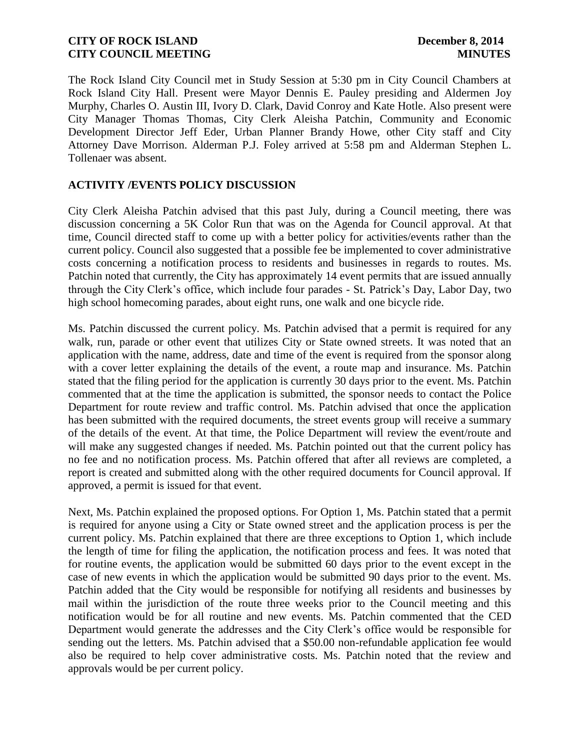The Rock Island City Council met in Study Session at 5:30 pm in City Council Chambers at Rock Island City Hall. Present were Mayor Dennis E. Pauley presiding and Aldermen Joy Murphy, Charles O. Austin III, Ivory D. Clark, David Conroy and Kate Hotle. Also present were City Manager Thomas Thomas, City Clerk Aleisha Patchin, Community and Economic Development Director Jeff Eder, Urban Planner Brandy Howe, other City staff and City Attorney Dave Morrison. Alderman P.J. Foley arrived at 5:58 pm and Alderman Stephen L. Tollenaer was absent.

#### **ACTIVITY /EVENTS POLICY DISCUSSION**

City Clerk Aleisha Patchin advised that this past July, during a Council meeting, there was discussion concerning a 5K Color Run that was on the Agenda for Council approval. At that time, Council directed staff to come up with a better policy for activities/events rather than the current policy. Council also suggested that a possible fee be implemented to cover administrative costs concerning a notification process to residents and businesses in regards to routes. Ms. Patchin noted that currently, the City has approximately 14 event permits that are issued annually through the City Clerk's office, which include four parades - St. Patrick's Day, Labor Day, two high school homecoming parades, about eight runs, one walk and one bicycle ride.

Ms. Patchin discussed the current policy. Ms. Patchin advised that a permit is required for any walk, run, parade or other event that utilizes City or State owned streets. It was noted that an application with the name, address, date and time of the event is required from the sponsor along with a cover letter explaining the details of the event, a route map and insurance. Ms. Patchin stated that the filing period for the application is currently 30 days prior to the event. Ms. Patchin commented that at the time the application is submitted, the sponsor needs to contact the Police Department for route review and traffic control. Ms. Patchin advised that once the application has been submitted with the required documents, the street events group will receive a summary of the details of the event. At that time, the Police Department will review the event/route and will make any suggested changes if needed. Ms. Patchin pointed out that the current policy has no fee and no notification process. Ms. Patchin offered that after all reviews are completed, a report is created and submitted along with the other required documents for Council approval. If approved, a permit is issued for that event.

Next, Ms. Patchin explained the proposed options. For Option 1, Ms. Patchin stated that a permit is required for anyone using a City or State owned street and the application process is per the current policy. Ms. Patchin explained that there are three exceptions to Option 1, which include the length of time for filing the application, the notification process and fees. It was noted that for routine events, the application would be submitted 60 days prior to the event except in the case of new events in which the application would be submitted 90 days prior to the event. Ms. Patchin added that the City would be responsible for notifying all residents and businesses by mail within the jurisdiction of the route three weeks prior to the Council meeting and this notification would be for all routine and new events. Ms. Patchin commented that the CED Department would generate the addresses and the City Clerk's office would be responsible for sending out the letters. Ms. Patchin advised that a \$50.00 non-refundable application fee would also be required to help cover administrative costs. Ms. Patchin noted that the review and approvals would be per current policy.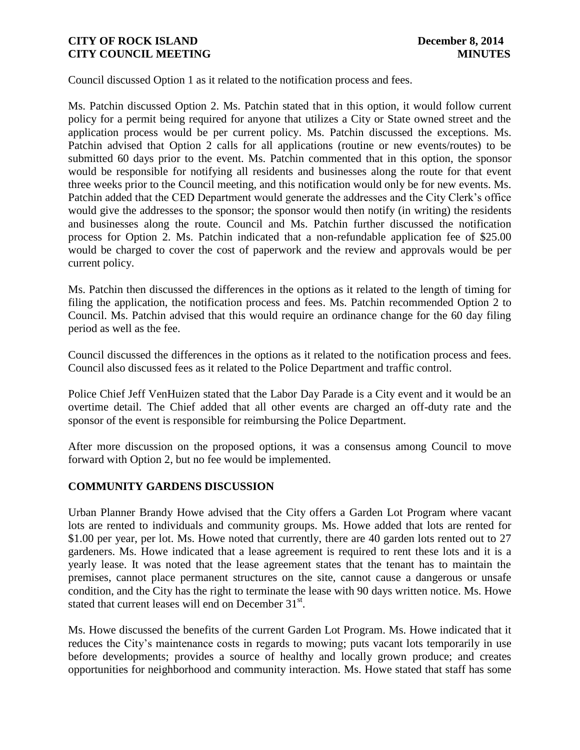Council discussed Option 1 as it related to the notification process and fees.

Ms. Patchin discussed Option 2. Ms. Patchin stated that in this option, it would follow current policy for a permit being required for anyone that utilizes a City or State owned street and the application process would be per current policy. Ms. Patchin discussed the exceptions. Ms. Patchin advised that Option 2 calls for all applications (routine or new events/routes) to be submitted 60 days prior to the event. Ms. Patchin commented that in this option, the sponsor would be responsible for notifying all residents and businesses along the route for that event three weeks prior to the Council meeting, and this notification would only be for new events. Ms. Patchin added that the CED Department would generate the addresses and the City Clerk's office would give the addresses to the sponsor; the sponsor would then notify (in writing) the residents and businesses along the route. Council and Ms. Patchin further discussed the notification process for Option 2. Ms. Patchin indicated that a non-refundable application fee of \$25.00 would be charged to cover the cost of paperwork and the review and approvals would be per current policy.

Ms. Patchin then discussed the differences in the options as it related to the length of timing for filing the application, the notification process and fees. Ms. Patchin recommended Option 2 to Council. Ms. Patchin advised that this would require an ordinance change for the 60 day filing period as well as the fee.

Council discussed the differences in the options as it related to the notification process and fees. Council also discussed fees as it related to the Police Department and traffic control.

Police Chief Jeff VenHuizen stated that the Labor Day Parade is a City event and it would be an overtime detail. The Chief added that all other events are charged an off-duty rate and the sponsor of the event is responsible for reimbursing the Police Department.

After more discussion on the proposed options, it was a consensus among Council to move forward with Option 2, but no fee would be implemented.

# **COMMUNITY GARDENS DISCUSSION**

Urban Planner Brandy Howe advised that the City offers a Garden Lot Program where vacant lots are rented to individuals and community groups. Ms. Howe added that lots are rented for \$1.00 per year, per lot. Ms. Howe noted that currently, there are 40 garden lots rented out to 27 gardeners. Ms. Howe indicated that a lease agreement is required to rent these lots and it is a yearly lease. It was noted that the lease agreement states that the tenant has to maintain the premises, cannot place permanent structures on the site, cannot cause a dangerous or unsafe condition, and the City has the right to terminate the lease with 90 days written notice. Ms. Howe stated that current leases will end on December  $31<sup>st</sup>$ .

Ms. Howe discussed the benefits of the current Garden Lot Program. Ms. Howe indicated that it reduces the City's maintenance costs in regards to mowing; puts vacant lots temporarily in use before developments; provides a source of healthy and locally grown produce; and creates opportunities for neighborhood and community interaction. Ms. Howe stated that staff has some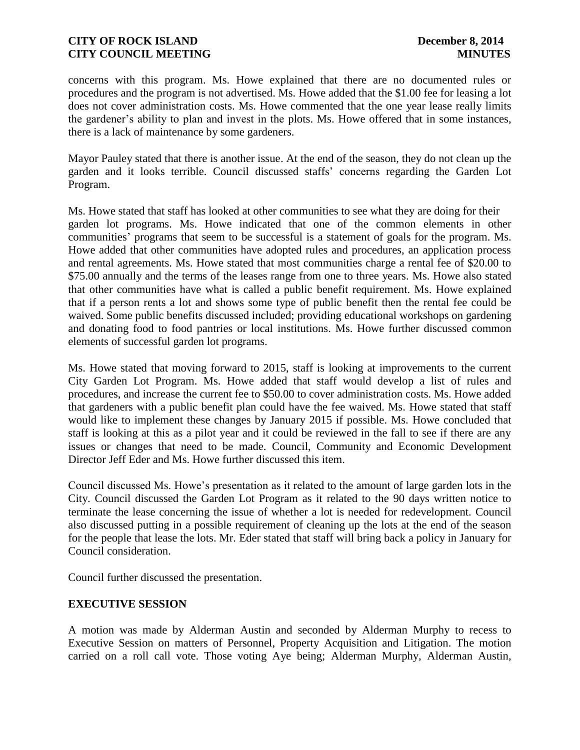concerns with this program. Ms. Howe explained that there are no documented rules or procedures and the program is not advertised. Ms. Howe added that the \$1.00 fee for leasing a lot does not cover administration costs. Ms. Howe commented that the one year lease really limits the gardener's ability to plan and invest in the plots. Ms. Howe offered that in some instances, there is a lack of maintenance by some gardeners.

Mayor Pauley stated that there is another issue. At the end of the season, they do not clean up the garden and it looks terrible. Council discussed staffs' concerns regarding the Garden Lot Program.

Ms. Howe stated that staff has looked at other communities to see what they are doing for their garden lot programs. Ms. Howe indicated that one of the common elements in other communities' programs that seem to be successful is a statement of goals for the program. Ms. Howe added that other communities have adopted rules and procedures, an application process and rental agreements. Ms. Howe stated that most communities charge a rental fee of \$20.00 to \$75.00 annually and the terms of the leases range from one to three years. Ms. Howe also stated that other communities have what is called a public benefit requirement. Ms. Howe explained that if a person rents a lot and shows some type of public benefit then the rental fee could be waived. Some public benefits discussed included; providing educational workshops on gardening and donating food to food pantries or local institutions. Ms. Howe further discussed common elements of successful garden lot programs.

Ms. Howe stated that moving forward to 2015, staff is looking at improvements to the current City Garden Lot Program. Ms. Howe added that staff would develop a list of rules and procedures, and increase the current fee to \$50.00 to cover administration costs. Ms. Howe added that gardeners with a public benefit plan could have the fee waived. Ms. Howe stated that staff would like to implement these changes by January 2015 if possible. Ms. Howe concluded that staff is looking at this as a pilot year and it could be reviewed in the fall to see if there are any issues or changes that need to be made. Council, Community and Economic Development Director Jeff Eder and Ms. Howe further discussed this item.

Council discussed Ms. Howe's presentation as it related to the amount of large garden lots in the City. Council discussed the Garden Lot Program as it related to the 90 days written notice to terminate the lease concerning the issue of whether a lot is needed for redevelopment. Council also discussed putting in a possible requirement of cleaning up the lots at the end of the season for the people that lease the lots. Mr. Eder stated that staff will bring back a policy in January for Council consideration.

Council further discussed the presentation.

#### **EXECUTIVE SESSION**

A motion was made by Alderman Austin and seconded by Alderman Murphy to recess to Executive Session on matters of Personnel, Property Acquisition and Litigation. The motion carried on a roll call vote. Those voting Aye being; Alderman Murphy, Alderman Austin,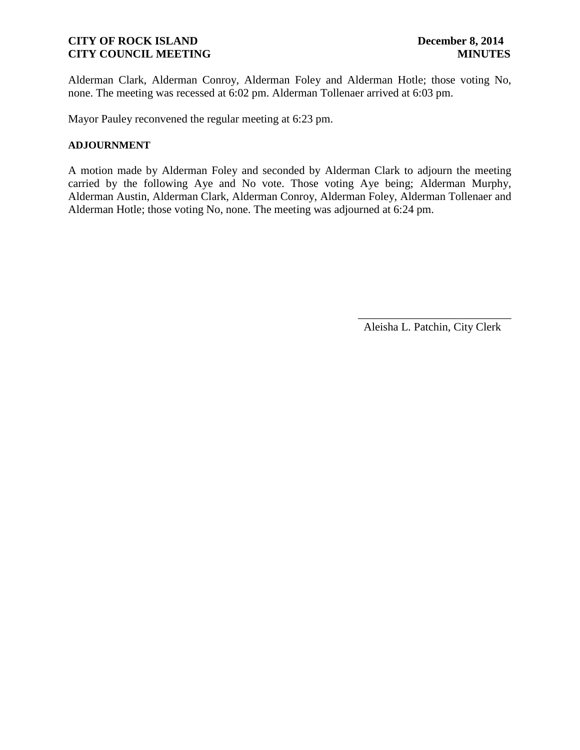Alderman Clark, Alderman Conroy, Alderman Foley and Alderman Hotle; those voting No, none. The meeting was recessed at 6:02 pm. Alderman Tollenaer arrived at 6:03 pm.

Mayor Pauley reconvened the regular meeting at 6:23 pm.

#### **ADJOURNMENT**

A motion made by Alderman Foley and seconded by Alderman Clark to adjourn the meeting carried by the following Aye and No vote. Those voting Aye being; Alderman Murphy, Alderman Austin, Alderman Clark, Alderman Conroy, Alderman Foley, Alderman Tollenaer and Alderman Hotle; those voting No, none. The meeting was adjourned at 6:24 pm.

Aleisha L. Patchin, City Clerk

 $\frac{1}{2}$  ,  $\frac{1}{2}$  ,  $\frac{1}{2}$  ,  $\frac{1}{2}$  ,  $\frac{1}{2}$  ,  $\frac{1}{2}$  ,  $\frac{1}{2}$  ,  $\frac{1}{2}$  ,  $\frac{1}{2}$  ,  $\frac{1}{2}$  ,  $\frac{1}{2}$  ,  $\frac{1}{2}$  ,  $\frac{1}{2}$  ,  $\frac{1}{2}$  ,  $\frac{1}{2}$  ,  $\frac{1}{2}$  ,  $\frac{1}{2}$  ,  $\frac{1}{2}$  ,  $\frac{1$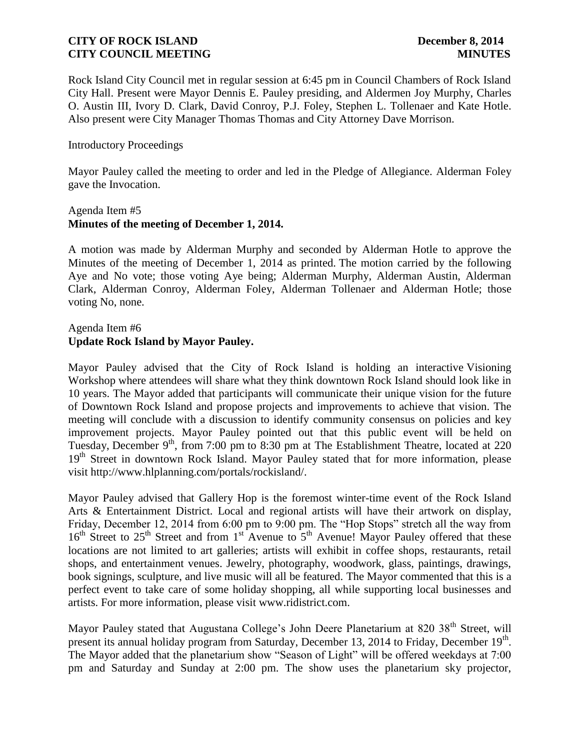Rock Island City Council met in regular session at 6:45 pm in Council Chambers of Rock Island City Hall. Present were Mayor Dennis E. Pauley presiding, and Aldermen Joy Murphy, Charles O. Austin III, Ivory D. Clark, David Conroy, P.J. Foley, Stephen L. Tollenaer and Kate Hotle. Also present were City Manager Thomas Thomas and City Attorney Dave Morrison.

#### Introductory Proceedings

Mayor Pauley called the meeting to order and led in the Pledge of Allegiance. Alderman Foley gave the Invocation.

#### Agenda Item #5 **Minutes of the meeting of December 1, 2014.**

A motion was made by Alderman Murphy and seconded by Alderman Hotle to approve the Minutes of the meeting of December 1, 2014 as printed. The motion carried by the following Aye and No vote; those voting Aye being; Alderman Murphy, Alderman Austin, Alderman Clark, Alderman Conroy, Alderman Foley, Alderman Tollenaer and Alderman Hotle; those voting No, none.

#### Agenda Item #6 **Update Rock Island by Mayor Pauley.**

Mayor Pauley advised that the City of Rock Island is holding an interactive Visioning Workshop where attendees will share what they think downtown Rock Island should look like in 10 years. The Mayor added that participants will communicate their unique vision for the future of Downtown Rock Island and propose projects and improvements to achieve that vision. The meeting will conclude with a discussion to identify community consensus on policies and key improvement projects. Mayor Pauley pointed out that this public event will be held on Tuesday, December 9<sup>th</sup>, from 7:00 pm to 8:30 pm at The Establishment Theatre, located at 220 19<sup>th</sup> Street in downtown Rock Island. Mayor Pauley stated that for more information, please visit http://www.hlplanning.com/portals/rockisland/.

Mayor Pauley advised that Gallery Hop is the foremost winter-time event of the Rock Island Arts & Entertainment District. Local and regional artists will have their artwork on display, Friday, December 12, 2014 from 6:00 pm to 9:00 pm. The "Hop Stops" stretch all the way from  $16<sup>th</sup>$  Street to  $25<sup>th</sup>$  Street and from  $1<sup>st</sup>$  Avenue to  $5<sup>th</sup>$  Avenue! Mayor Pauley offered that these locations are not limited to art galleries; artists will exhibit in coffee shops, restaurants, retail shops, and entertainment venues. Jewelry, photography, woodwork, glass, paintings, drawings, book signings, sculpture, and live music will all be featured. The Mayor commented that this is a perfect event to take care of some holiday shopping, all while supporting local businesses and artists. For more information, please visit www.ridistrict.com.

Mayor Pauley stated that Augustana College's John Deere Planetarium at 820 38<sup>th</sup> Street, will present its annual holiday program from Saturday, December 13, 2014 to Friday, December 19<sup>th</sup>. The Mayor added that the planetarium show "Season of Light" will be offered weekdays at 7:00 pm and Saturday and Sunday at 2:00 pm. The show uses the planetarium sky projector,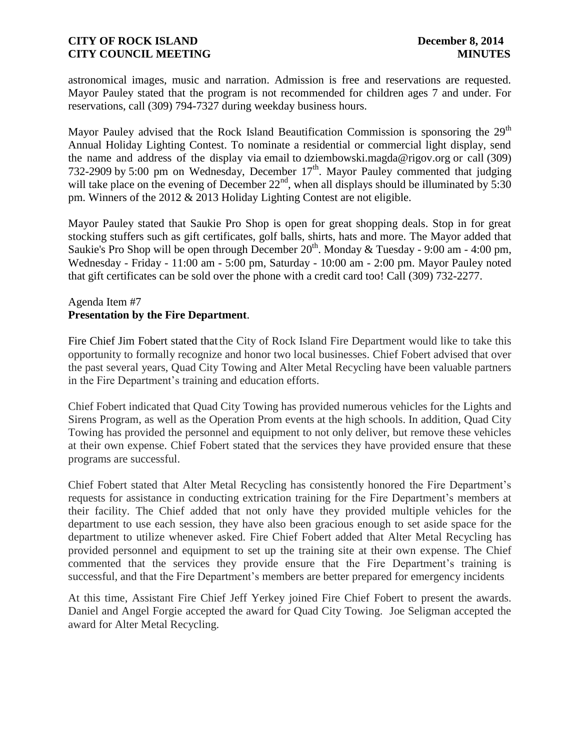astronomical images, music and narration. Admission is free and reservations are requested. Mayor Pauley stated that the program is not recommended for children ages 7 and under. For reservations, call (309) 794-7327 during weekday business hours.

Mayor Pauley advised that the Rock Island Beautification Commission is sponsoring the  $29<sup>th</sup>$ Annual Holiday Lighting Contest. To nominate a residential or commercial light display, send the name and address of the display via email to dziembowski.magda@rigov.org or call (309) 732-2909 by 5:00 pm on Wednesday, December  $17<sup>th</sup>$ . Mayor Pauley commented that judging will take place on the evening of December  $22<sup>nd</sup>$ , when all displays should be illuminated by 5:30 pm. Winners of the 2012 & 2013 Holiday Lighting Contest are not eligible.

Mayor Pauley stated that Saukie Pro Shop is open for great shopping deals. Stop in for great stocking stuffers such as gift certificates, golf balls, shirts, hats and more. The Mayor added that Saukie's Pro Shop will be open through December  $20^{th}$ . Monday & Tuesday - 9:00 am - 4:00 pm, Wednesday - Friday - 11:00 am - 5:00 pm, Saturday - 10:00 am - 2:00 pm. Mayor Pauley noted that gift certificates can be sold over the phone with a credit card too! Call (309) 732-2277.

# Agenda Item #7 **Presentation by the Fire Department**.

Fire Chief Jim Fobert stated that the City of Rock Island Fire Department would like to take this opportunity to formally recognize and honor two local businesses. Chief Fobert advised that over the past several years, Quad City Towing and Alter Metal Recycling have been valuable partners in the Fire Department's training and education efforts.

Chief Fobert indicated that Quad City Towing has provided numerous vehicles for the Lights and Sirens Program, as well as the Operation Prom events at the high schools. In addition, Quad City Towing has provided the personnel and equipment to not only deliver, but remove these vehicles at their own expense. Chief Fobert stated that the services they have provided ensure that these programs are successful.

Chief Fobert stated that Alter Metal Recycling has consistently honored the Fire Department's requests for assistance in conducting extrication training for the Fire Department's members at their facility. The Chief added that not only have they provided multiple vehicles for the department to use each session, they have also been gracious enough to set aside space for the department to utilize whenever asked. Fire Chief Fobert added that Alter Metal Recycling has provided personnel and equipment to set up the training site at their own expense. The Chief commented that the services they provide ensure that the Fire Department's training is successful, and that the Fire Department's members are better prepared for emergency incidents.

At this time, Assistant Fire Chief Jeff Yerkey joined Fire Chief Fobert to present the awards. Daniel and Angel Forgie accepted the award for Quad City Towing. Joe Seligman accepted the award for Alter Metal Recycling.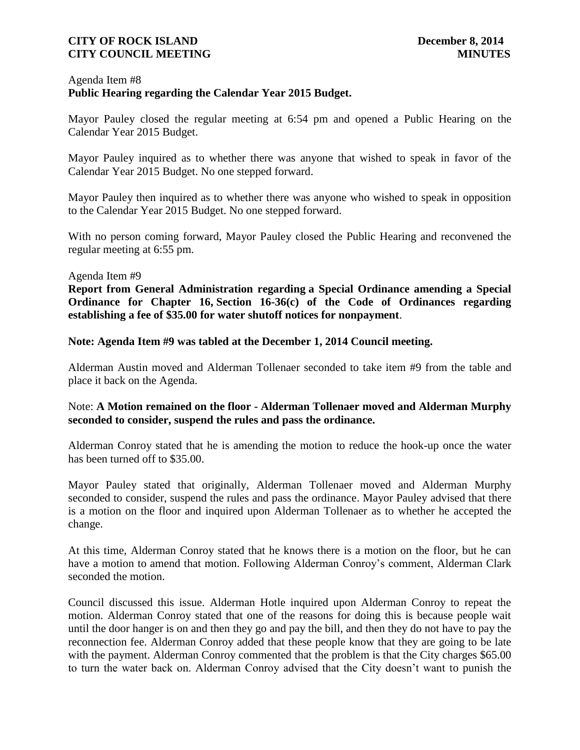### Agenda Item #8 **Public Hearing regarding the Calendar Year 2015 Budget.**

Mayor Pauley closed the regular meeting at 6:54 pm and opened a Public Hearing on the Calendar Year 2015 Budget.

Mayor Pauley inquired as to whether there was anyone that wished to speak in favor of the Calendar Year 2015 Budget. No one stepped forward.

Mayor Pauley then inquired as to whether there was anyone who wished to speak in opposition to the Calendar Year 2015 Budget. No one stepped forward.

With no person coming forward, Mayor Pauley closed the Public Hearing and reconvened the regular meeting at 6:55 pm.

#### Agenda Item #9

**Report from General Administration regarding a Special Ordinance amending a Special Ordinance for Chapter 16, Section 16-36(c) of the Code of Ordinances regarding establishing a fee of \$35.00 for water shutoff notices for nonpayment**.

**Note: Agenda Item #9 was tabled at the December 1, 2014 Council meeting.**

Alderman Austin moved and Alderman Tollenaer seconded to take item #9 from the table and place it back on the Agenda.

# Note: **A Motion remained on the floor - Alderman Tollenaer moved and Alderman Murphy seconded to consider, suspend the rules and pass the ordinance.**

Alderman Conroy stated that he is amending the motion to reduce the hook-up once the water has been turned off to \$35.00.

Mayor Pauley stated that originally, Alderman Tollenaer moved and Alderman Murphy seconded to consider, suspend the rules and pass the ordinance. Mayor Pauley advised that there is a motion on the floor and inquired upon Alderman Tollenaer as to whether he accepted the change.

At this time, Alderman Conroy stated that he knows there is a motion on the floor, but he can have a motion to amend that motion. Following Alderman Conroy's comment, Alderman Clark seconded the motion.

Council discussed this issue. Alderman Hotle inquired upon Alderman Conroy to repeat the motion. Alderman Conroy stated that one of the reasons for doing this is because people wait until the door hanger is on and then they go and pay the bill, and then they do not have to pay the reconnection fee. Alderman Conroy added that these people know that they are going to be late with the payment. Alderman Conroy commented that the problem is that the City charges \$65.00 to turn the water back on. Alderman Conroy advised that the City doesn't want to punish the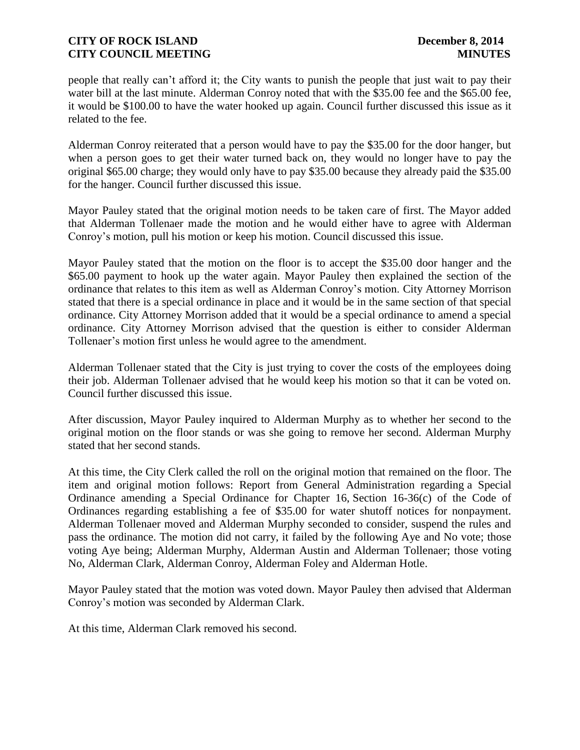people that really can't afford it; the City wants to punish the people that just wait to pay their water bill at the last minute. Alderman Conroy noted that with the \$35.00 fee and the \$65.00 fee, it would be \$100.00 to have the water hooked up again. Council further discussed this issue as it related to the fee.

Alderman Conroy reiterated that a person would have to pay the \$35.00 for the door hanger, but when a person goes to get their water turned back on, they would no longer have to pay the original \$65.00 charge; they would only have to pay \$35.00 because they already paid the \$35.00 for the hanger. Council further discussed this issue.

Mayor Pauley stated that the original motion needs to be taken care of first. The Mayor added that Alderman Tollenaer made the motion and he would either have to agree with Alderman Conroy's motion, pull his motion or keep his motion. Council discussed this issue.

Mayor Pauley stated that the motion on the floor is to accept the \$35.00 door hanger and the \$65.00 payment to hook up the water again. Mayor Pauley then explained the section of the ordinance that relates to this item as well as Alderman Conroy's motion. City Attorney Morrison stated that there is a special ordinance in place and it would be in the same section of that special ordinance. City Attorney Morrison added that it would be a special ordinance to amend a special ordinance. City Attorney Morrison advised that the question is either to consider Alderman Tollenaer's motion first unless he would agree to the amendment.

Alderman Tollenaer stated that the City is just trying to cover the costs of the employees doing their job. Alderman Tollenaer advised that he would keep his motion so that it can be voted on. Council further discussed this issue.

After discussion, Mayor Pauley inquired to Alderman Murphy as to whether her second to the original motion on the floor stands or was she going to remove her second. Alderman Murphy stated that her second stands.

At this time, the City Clerk called the roll on the original motion that remained on the floor. The item and original motion follows: Report from General Administration regarding a Special Ordinance amending a Special Ordinance for Chapter 16, Section 16-36(c) of the Code of Ordinances regarding establishing a fee of \$35.00 for water shutoff notices for nonpayment. Alderman Tollenaer moved and Alderman Murphy seconded to consider, suspend the rules and pass the ordinance. The motion did not carry, it failed by the following Aye and No vote; those voting Aye being; Alderman Murphy, Alderman Austin and Alderman Tollenaer; those voting No, Alderman Clark, Alderman Conroy, Alderman Foley and Alderman Hotle.

Mayor Pauley stated that the motion was voted down. Mayor Pauley then advised that Alderman Conroy's motion was seconded by Alderman Clark.

At this time, Alderman Clark removed his second.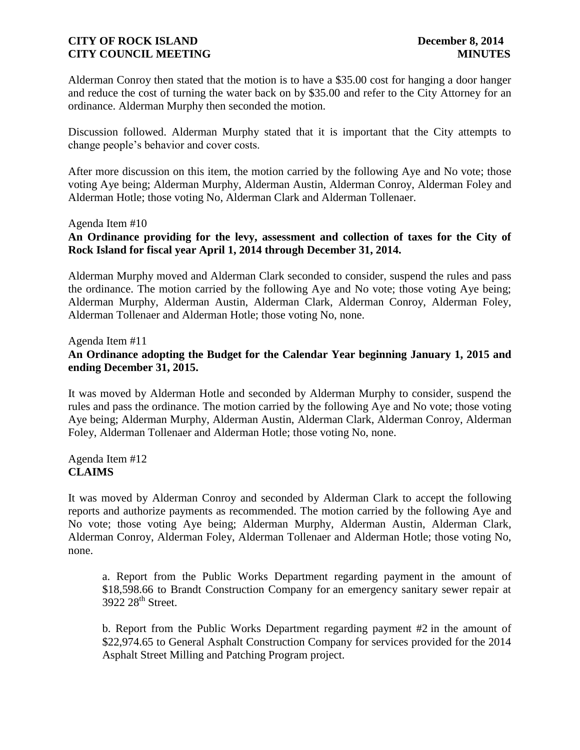Alderman Conroy then stated that the motion is to have a \$35.00 cost for hanging a door hanger and reduce the cost of turning the water back on by \$35.00 and refer to the City Attorney for an ordinance. Alderman Murphy then seconded the motion.

Discussion followed. Alderman Murphy stated that it is important that the City attempts to change people's behavior and cover costs.

After more discussion on this item, the motion carried by the following Aye and No vote; those voting Aye being; Alderman Murphy, Alderman Austin, Alderman Conroy, Alderman Foley and Alderman Hotle; those voting No, Alderman Clark and Alderman Tollenaer.

#### Agenda Item #10

# **An Ordinance providing for the levy, assessment and collection of taxes for the City of Rock Island for fiscal year April 1, 2014 through December 31, 2014.**

Alderman Murphy moved and Alderman Clark seconded to consider, suspend the rules and pass the ordinance. The motion carried by the following Aye and No vote; those voting Aye being; Alderman Murphy, Alderman Austin, Alderman Clark, Alderman Conroy, Alderman Foley, Alderman Tollenaer and Alderman Hotle; those voting No, none.

Agenda Item #11 **An Ordinance adopting the Budget for the Calendar Year beginning January 1, 2015 and ending December 31, 2015.**

It was moved by Alderman Hotle and seconded by Alderman Murphy to consider, suspend the rules and pass the ordinance. The motion carried by the following Aye and No vote; those voting Aye being; Alderman Murphy, Alderman Austin, Alderman Clark, Alderman Conroy, Alderman Foley, Alderman Tollenaer and Alderman Hotle; those voting No, none.

Agenda Item #12 **CLAIMS**

It was moved by Alderman Conroy and seconded by Alderman Clark to accept the following reports and authorize payments as recommended. The motion carried by the following Aye and No vote; those voting Aye being; Alderman Murphy, Alderman Austin, Alderman Clark, Alderman Conroy, Alderman Foley, Alderman Tollenaer and Alderman Hotle; those voting No, none.

a. Report from the Public Works Department regarding payment in the amount of \$18,598.66 to Brandt Construction Company for an emergency sanitary sewer repair at 3922 28<sup>th</sup> Street.

b. Report from the Public Works Department regarding payment #2 in the amount of \$22,974.65 to General Asphalt Construction Company for services provided for the 2014 Asphalt Street Milling and Patching Program project.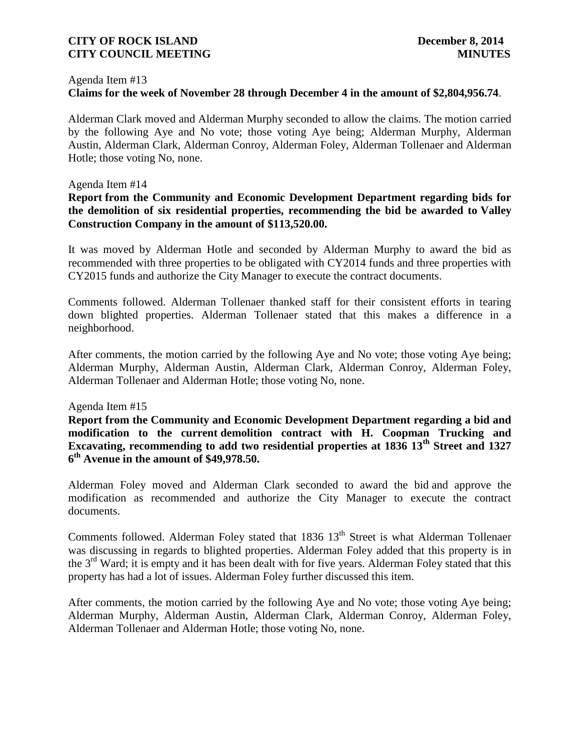#### Agenda Item #13

# **Claims for the week of November 28 through December 4 in the amount of \$2,804,956.74**.

Alderman Clark moved and Alderman Murphy seconded to allow the claims. The motion carried by the following Aye and No vote; those voting Aye being; Alderman Murphy, Alderman Austin, Alderman Clark, Alderman Conroy, Alderman Foley, Alderman Tollenaer and Alderman Hotle; those voting No, none.

#### Agenda Item #14

#### **Report from the Community and Economic Development Department regarding bids for the demolition of six residential properties, recommending the bid be awarded to Valley Construction Company in the amount of \$113,520.00.**

It was moved by Alderman Hotle and seconded by Alderman Murphy to award the bid as recommended with three properties to be obligated with CY2014 funds and three properties with CY2015 funds and authorize the City Manager to execute the contract documents.

Comments followed. Alderman Tollenaer thanked staff for their consistent efforts in tearing down blighted properties. Alderman Tollenaer stated that this makes a difference in a neighborhood.

After comments, the motion carried by the following Aye and No vote; those voting Aye being; Alderman Murphy, Alderman Austin, Alderman Clark, Alderman Conroy, Alderman Foley, Alderman Tollenaer and Alderman Hotle; those voting No, none.

#### Agenda Item #15

**Report from the Community and Economic Development Department regarding a bid and modification to the current demolition contract with H. Coopman Trucking and Excavating, recommending to add two residential properties at 1836 13th Street and 1327 6 th Avenue in the amount of \$49,978.50.**

Alderman Foley moved and Alderman Clark seconded to award the bid and approve the modification as recommended and authorize the City Manager to execute the contract documents.

Comments followed. Alderman Foley stated that 1836 13<sup>th</sup> Street is what Alderman Tollenaer was discussing in regards to blighted properties. Alderman Foley added that this property is in the 3<sup>rd</sup> Ward; it is empty and it has been dealt with for five years. Alderman Foley stated that this property has had a lot of issues. Alderman Foley further discussed this item.

After comments, the motion carried by the following Aye and No vote; those voting Aye being; Alderman Murphy, Alderman Austin, Alderman Clark, Alderman Conroy, Alderman Foley, Alderman Tollenaer and Alderman Hotle; those voting No, none.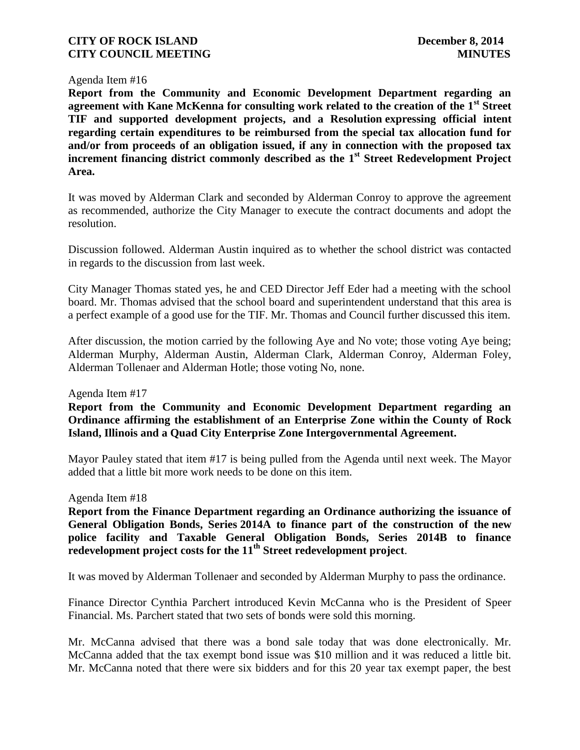#### Agenda Item #16

**Report from the Community and Economic Development Department regarding an agreement with Kane McKenna for consulting work related to the creation of the 1st Street TIF and supported development projects, and a Resolution expressing official intent regarding certain expenditures to be reimbursed from the special tax allocation fund for and/or from proceeds of an obligation issued, if any in connection with the proposed tax increment financing district commonly described as the 1st Street Redevelopment Project Area.**

It was moved by Alderman Clark and seconded by Alderman Conroy to approve the agreement as recommended, authorize the City Manager to execute the contract documents and adopt the resolution.

Discussion followed. Alderman Austin inquired as to whether the school district was contacted in regards to the discussion from last week.

City Manager Thomas stated yes, he and CED Director Jeff Eder had a meeting with the school board. Mr. Thomas advised that the school board and superintendent understand that this area is a perfect example of a good use for the TIF. Mr. Thomas and Council further discussed this item.

After discussion, the motion carried by the following Aye and No vote; those voting Aye being; Alderman Murphy, Alderman Austin, Alderman Clark, Alderman Conroy, Alderman Foley, Alderman Tollenaer and Alderman Hotle; those voting No, none.

Agenda Item #17

**Report from the Community and Economic Development Department regarding an Ordinance affirming the establishment of an Enterprise Zone within the County of Rock Island, Illinois and a Quad City Enterprise Zone Intergovernmental Agreement.**

Mayor Pauley stated that item #17 is being pulled from the Agenda until next week. The Mayor added that a little bit more work needs to be done on this item.

Agenda Item #18

**Report from the Finance Department regarding an Ordinance authorizing the issuance of General Obligation Bonds, Series 2014A to finance part of the construction of the new police facility and Taxable General Obligation Bonds, Series 2014B to finance redevelopment project costs for the 11th Street redevelopment project**.

It was moved by Alderman Tollenaer and seconded by Alderman Murphy to pass the ordinance.

Finance Director Cynthia Parchert introduced Kevin McCanna who is the President of Speer Financial. Ms. Parchert stated that two sets of bonds were sold this morning.

Mr. McCanna advised that there was a bond sale today that was done electronically. Mr. McCanna added that the tax exempt bond issue was \$10 million and it was reduced a little bit. Mr. McCanna noted that there were six bidders and for this 20 year tax exempt paper, the best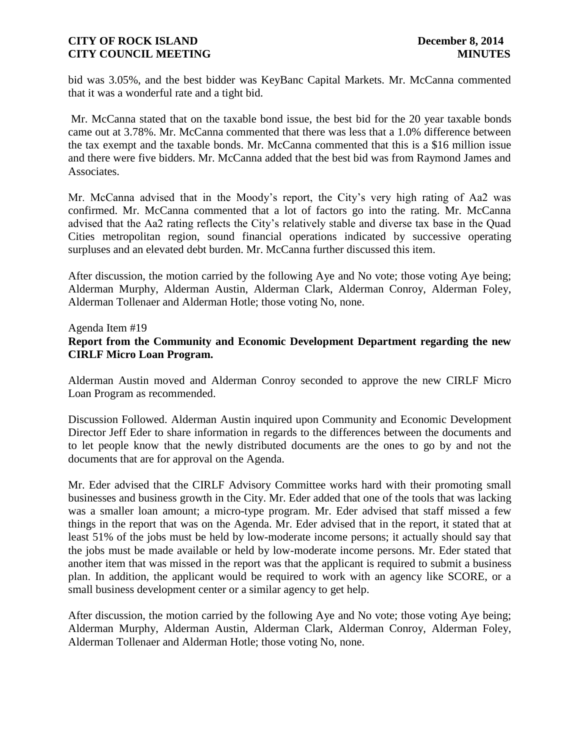bid was 3.05%, and the best bidder was KeyBanc Capital Markets. Mr. McCanna commented that it was a wonderful rate and a tight bid.

Mr. McCanna stated that on the taxable bond issue, the best bid for the 20 year taxable bonds came out at 3.78%. Mr. McCanna commented that there was less that a 1.0% difference between the tax exempt and the taxable bonds. Mr. McCanna commented that this is a \$16 million issue and there were five bidders. Mr. McCanna added that the best bid was from Raymond James and Associates.

Mr. McCanna advised that in the Moody's report, the City's very high rating of Aa2 was confirmed. Mr. McCanna commented that a lot of factors go into the rating. Mr. McCanna advised that the Aa2 rating reflects the City's relatively stable and diverse tax base in the Quad Cities metropolitan region, sound financial operations indicated by successive operating surpluses and an elevated debt burden. Mr. McCanna further discussed this item.

After discussion, the motion carried by the following Aye and No vote; those voting Aye being; Alderman Murphy, Alderman Austin, Alderman Clark, Alderman Conroy, Alderman Foley, Alderman Tollenaer and Alderman Hotle; those voting No, none.

#### Agenda Item #19 **Report from the Community and Economic Development Department regarding the new CIRLF Micro Loan Program.**

Alderman Austin moved and Alderman Conroy seconded to approve the new CIRLF Micro Loan Program as recommended.

Discussion Followed. Alderman Austin inquired upon Community and Economic Development Director Jeff Eder to share information in regards to the differences between the documents and to let people know that the newly distributed documents are the ones to go by and not the documents that are for approval on the Agenda.

Mr. Eder advised that the CIRLF Advisory Committee works hard with their promoting small businesses and business growth in the City. Mr. Eder added that one of the tools that was lacking was a smaller loan amount; a micro-type program. Mr. Eder advised that staff missed a few things in the report that was on the Agenda. Mr. Eder advised that in the report, it stated that at least 51% of the jobs must be held by low-moderate income persons; it actually should say that the jobs must be made available or held by low-moderate income persons. Mr. Eder stated that another item that was missed in the report was that the applicant is required to submit a business plan. In addition, the applicant would be required to work with an agency like SCORE, or a small business development center or a similar agency to get help.

After discussion, the motion carried by the following Aye and No vote; those voting Aye being; Alderman Murphy, Alderman Austin, Alderman Clark, Alderman Conroy, Alderman Foley, Alderman Tollenaer and Alderman Hotle; those voting No, none.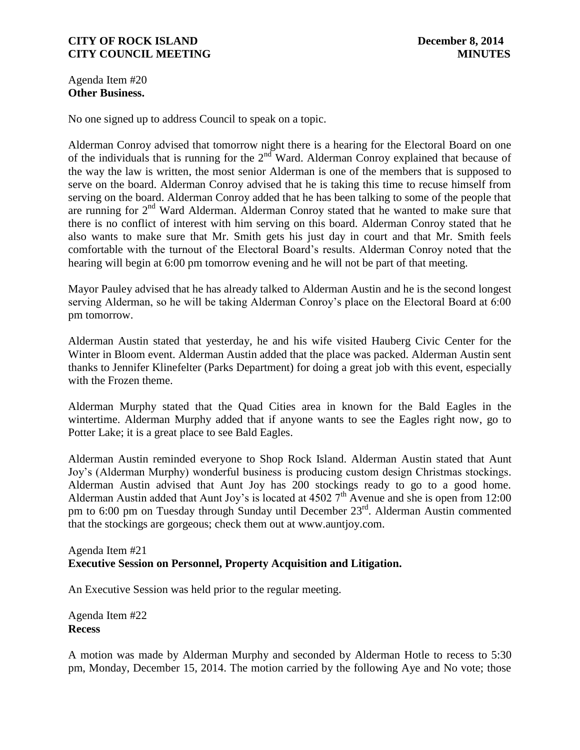Agenda Item #20 **Other Business.**

No one signed up to address Council to speak on a topic.

Alderman Conroy advised that tomorrow night there is a hearing for the Electoral Board on one of the individuals that is running for the  $2<sup>nd</sup>$  Ward. Alderman Conroy explained that because of the way the law is written, the most senior Alderman is one of the members that is supposed to serve on the board. Alderman Conroy advised that he is taking this time to recuse himself from serving on the board. Alderman Conroy added that he has been talking to some of the people that are running for 2<sup>nd</sup> Ward Alderman. Alderman Conroy stated that he wanted to make sure that there is no conflict of interest with him serving on this board. Alderman Conroy stated that he also wants to make sure that Mr. Smith gets his just day in court and that Mr. Smith feels comfortable with the turnout of the Electoral Board's results. Alderman Conroy noted that the hearing will begin at 6:00 pm tomorrow evening and he will not be part of that meeting.

Mayor Pauley advised that he has already talked to Alderman Austin and he is the second longest serving Alderman, so he will be taking Alderman Conroy's place on the Electoral Board at 6:00 pm tomorrow.

Alderman Austin stated that yesterday, he and his wife visited Hauberg Civic Center for the Winter in Bloom event. Alderman Austin added that the place was packed. Alderman Austin sent thanks to Jennifer Klinefelter (Parks Department) for doing a great job with this event, especially with the Frozen theme.

Alderman Murphy stated that the Quad Cities area in known for the Bald Eagles in the wintertime. Alderman Murphy added that if anyone wants to see the Eagles right now, go to Potter Lake; it is a great place to see Bald Eagles.

Alderman Austin reminded everyone to Shop Rock Island. Alderman Austin stated that Aunt Joy's (Alderman Murphy) wonderful business is producing custom design Christmas stockings. Alderman Austin advised that Aunt Joy has 200 stockings ready to go to a good home. Alderman Austin added that Aunt Joy's is located at  $45027<sup>th</sup>$  Avenue and she is open from 12:00 pm to 6:00 pm on Tuesday through Sunday until December 23rd. Alderman Austin commented that the stockings are gorgeous; check them out at www.auntjoy.com.

# Agenda Item #21 **Executive Session on Personnel, Property Acquisition and Litigation.**

An Executive Session was held prior to the regular meeting.

Agenda Item #22 **Recess**

A motion was made by Alderman Murphy and seconded by Alderman Hotle to recess to 5:30 pm, Monday, December 15, 2014. The motion carried by the following Aye and No vote; those